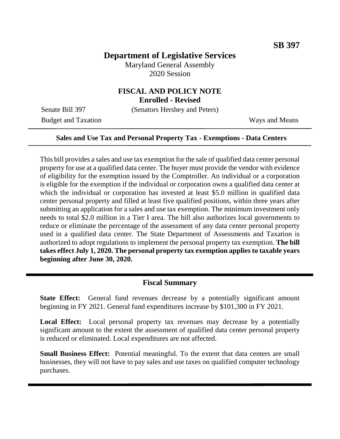# **Department of Legislative Services**

Maryland General Assembly 2020 Session

# **FISCAL AND POLICY NOTE**

**Enrolled - Revised**

Senate Bill 397 (Senators Hershey and Peters)

Budget and Taxation Ways and Means

### **Sales and Use Tax and Personal Property Tax - Exemptions - Data Centers**

This bill provides a sales and use tax exemption for the sale of qualified data center personal property for use at a qualified data center. The buyer must provide the vendor with evidence of eligibility for the exemption issued by the Comptroller. An individual or a corporation is eligible for the exemption if the individual or corporation owns a qualified data center at which the individual or corporation has invested at least \$5.0 million in qualified data center personal property and filled at least five qualified positions, within three years after submitting an application for a sales and use tax exemption. The minimum investment only needs to total \$2.0 million in a Tier I area. The bill also authorizes local governments to reduce or eliminate the percentage of the assessment of any data center personal property used in a qualified data center. The State Department of Assessments and Taxation is authorized to adopt regulations to implement the personal property tax exemption. **The bill takes effect July 1, 2020. The personal property tax exemption applies to taxable years beginning after June 30, 2020.**

# **Fiscal Summary**

**State Effect:** General fund revenues decrease by a potentially significant amount beginning in FY 2021. General fund expenditures increase by \$101,300 in FY 2021.

**Local Effect:** Local personal property tax revenues may decrease by a potentially significant amount to the extent the assessment of qualified data center personal property is reduced or eliminated. Local expenditures are not affected.

**Small Business Effect:** Potential meaningful. To the extent that data centers are small businesses, they will not have to pay sales and use taxes on qualified computer technology purchases.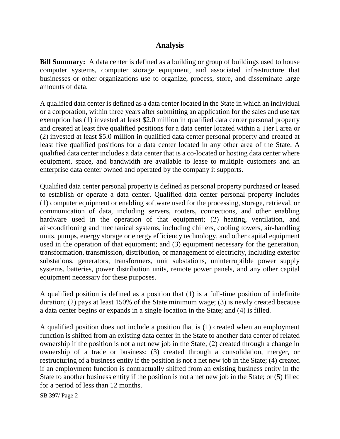# **Analysis**

**Bill Summary:** A data center is defined as a building or group of buildings used to house computer systems, computer storage equipment, and associated infrastructure that businesses or other organizations use to organize, process, store, and disseminate large amounts of data.

A qualified data center is defined as a data center located in the State in which an individual or a corporation, within three years after submitting an application for the sales and use tax exemption has (1) invested at least \$2.0 million in qualified data center personal property and created at least five qualified positions for a data center located within a Tier I area or (2) invested at least \$5.0 million in qualified data center personal property and created at least five qualified positions for a data center located in any other area of the State. A qualified data center includes a data center that is a co-located or hosting data center where equipment, space, and bandwidth are available to lease to multiple customers and an enterprise data center owned and operated by the company it supports.

Qualified data center personal property is defined as personal property purchased or leased to establish or operate a data center. Qualified data center personal property includes (1) computer equipment or enabling software used for the processing, storage, retrieval, or communication of data, including servers, routers, connections, and other enabling hardware used in the operation of that equipment; (2) heating, ventilation, and air-conditioning and mechanical systems, including chillers, cooling towers, air-handling units, pumps, energy storage or energy efficiency technology, and other capital equipment used in the operation of that equipment; and (3) equipment necessary for the generation, transformation, transmission, distribution, or management of electricity, including exterior substations, generators, transformers, unit substations, uninterruptible power supply systems, batteries, power distribution units, remote power panels, and any other capital equipment necessary for these purposes.

A qualified position is defined as a position that (1) is a full-time position of indefinite duration; (2) pays at least 150% of the State minimum wage; (3) is newly created because a data center begins or expands in a single location in the State; and (4) is filled.

A qualified position does not include a position that is (1) created when an employment function is shifted from an existing data center in the State to another data center of related ownership if the position is not a net new job in the State; (2) created through a change in ownership of a trade or business; (3) created through a consolidation, merger, or restructuring of a business entity if the position is not a net new job in the State; (4) created if an employment function is contractually shifted from an existing business entity in the State to another business entity if the position is not a net new job in the State; or (5) filled for a period of less than 12 months.

SB 397/ Page 2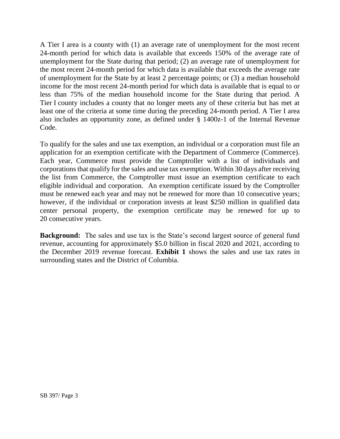A Tier I area is a county with (1) an average rate of unemployment for the most recent 24-month period for which data is available that exceeds 150% of the average rate of unemployment for the State during that period; (2) an average rate of unemployment for the most recent 24-month period for which data is available that exceeds the average rate of unemployment for the State by at least 2 percentage points; or (3) a median household income for the most recent 24-month period for which data is available that is equal to or less than 75% of the median household income for the State during that period. A Tier I county includes a county that no longer meets any of these criteria but has met at least one of the criteria at some time during the preceding 24-month period. A Tier I area also includes an opportunity zone, as defined under § 1400z-1 of the Internal Revenue Code.

To qualify for the sales and use tax exemption, an individual or a corporation must file an application for an exemption certificate with the Department of Commerce (Commerce). Each year, Commerce must provide the Comptroller with a list of individuals and corporations that qualify for the sales and use tax exemption. Within 30 days after receiving the list from Commerce, the Comptroller must issue an exemption certificate to each eligible individual and corporation. An exemption certificate issued by the Comptroller must be renewed each year and may not be renewed for more than 10 consecutive years; however, if the individual or corporation invests at least \$250 million in qualified data center personal property, the exemption certificate may be renewed for up to 20 consecutive years.

**Background:** The sales and use tax is the State's second largest source of general fund revenue, accounting for approximately \$5.0 billion in fiscal 2020 and 2021, according to the December 2019 revenue forecast. **Exhibit 1** shows the sales and use tax rates in surrounding states and the District of Columbia.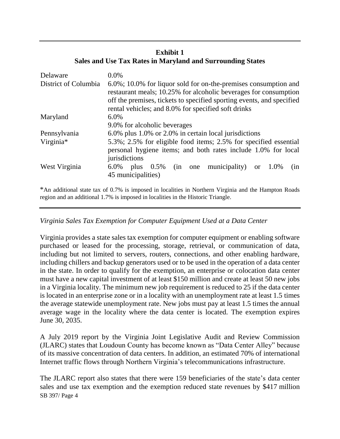# **Exhibit 1 Sales and Use Tax Rates in Maryland and Surrounding States**

| Delaware             | $0.0\%$                                                                                                                                                                                                                                                             |
|----------------------|---------------------------------------------------------------------------------------------------------------------------------------------------------------------------------------------------------------------------------------------------------------------|
| District of Columbia | 6.0%; 10.0% for liquor sold for on-the-premises consumption and<br>restaurant meals; 10.25% for alcoholic beverages for consumption<br>off the premises, tickets to specified sporting events, and specified<br>rental vehicles; and 8.0% for specified soft drinks |
| Maryland             | $6.0\%$                                                                                                                                                                                                                                                             |
|                      | 9.0% for alcoholic beverages                                                                                                                                                                                                                                        |
| Pennsylvania         | 6.0% plus 1.0% or 2.0% in certain local jurisdictions                                                                                                                                                                                                               |
| Virginia*            | 5.3%; 2.5% for eligible food items; 2.5% for specified essential                                                                                                                                                                                                    |
|                      | personal hygiene items; and both rates include 1.0% for local<br>jurisdictions                                                                                                                                                                                      |
| West Virginia        | municipality)<br>$0.5\%$<br>6.0%<br>or $1.0\%$<br>plus<br>(in<br>one<br>(nn)<br>45 municipalities)                                                                                                                                                                  |

\*An additional state tax of 0.7% is imposed in localities in Northern Virginia and the Hampton Roads region and an additional 1.7% is imposed in localities in the Historic Triangle.

## *Virginia Sales Tax Exemption for Computer Equipment Used at a Data Center*

Virginia provides a state sales tax exemption for computer equipment or enabling software purchased or leased for the processing, storage, retrieval, or communication of data, including but not limited to servers, routers, connections, and other enabling hardware, including chillers and backup generators used or to be used in the operation of a data center in the state. In order to qualify for the exemption, an enterprise or colocation data center must have a new capital investment of at least \$150 million and create at least 50 new jobs in a Virginia locality. The minimum new job requirement is reduced to 25 if the data center is located in an enterprise zone or in a locality with an unemployment rate at least 1.5 times the average statewide unemployment rate. New jobs must pay at least 1.5 times the annual average wage in the locality where the data center is located. The exemption expires June 30, 2035.

A July 2019 report by the Virginia Joint Legislative Audit and Review Commission (JLARC) states that Loudoun County has become known as "Data Center Alley" because of its massive concentration of data centers. In addition, an estimated 70% of international Internet traffic flows through Northern Virginia's telecommunications infrastructure.

SB 397/ Page 4 The JLARC report also states that there were 159 beneficiaries of the state's data center sales and use tax exemption and the exemption reduced state revenues by \$417 million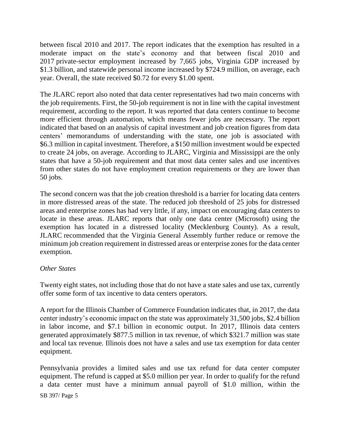between fiscal 2010 and 2017. The report indicates that the exemption has resulted in a moderate impact on the state's economy and that between fiscal 2010 and 2017 private-sector employment increased by 7,665 jobs, Virginia GDP increased by \$1.3 billion, and statewide personal income increased by \$724.9 million, on average, each year. Overall, the state received \$0.72 for every \$1.00 spent.

The JLARC report also noted that data center representatives had two main concerns with the job requirements. First, the 50-job requirement is not in line with the capital investment requirement, according to the report. It was reported that data centers continue to become more efficient through automation, which means fewer jobs are necessary. The report indicated that based on an analysis of capital investment and job creation figures from data centers' memorandums of understanding with the state, one job is associated with \$6.3 million in capital investment. Therefore, a \$150 million investment would be expected to create 24 jobs, on average. According to JLARC, Virginia and Mississippi are the only states that have a 50-job requirement and that most data center sales and use incentives from other states do not have employment creation requirements or they are lower than 50 jobs.

The second concern was that the job creation threshold is a barrier for locating data centers in more distressed areas of the state. The reduced job threshold of 25 jobs for distressed areas and enterprise zones has had very little, if any, impact on encouraging data centers to locate in these areas. JLARC reports that only one data center (Microsoft) using the exemption has located in a distressed locality (Mecklenburg County). As a result, JLARC recommended that the Virginia General Assembly further reduce or remove the minimum job creation requirement in distressed areas or enterprise zones for the data center exemption.

### *Other States*

Twenty eight states, not including those that do not have a state sales and use tax, currently offer some form of tax incentive to data centers operators.

A report for the Illinois Chamber of Commerce Foundation indicates that, in 2017, the data center industry's economic impact on the state was approximately 31,500 jobs, \$2.4 billion in labor income, and \$7.1 billion in economic output. In 2017, Illinois data centers generated approximately \$877.5 million in tax revenue, of which \$321.7 million was state and local tax revenue. Illinois does not have a sales and use tax exemption for data center equipment.

SB 397/ Page 5 Pennsylvania provides a limited sales and use tax refund for data center computer equipment. The refund is capped at \$5.0 million per year. In order to qualify for the refund a data center must have a minimum annual payroll of \$1.0 million, within the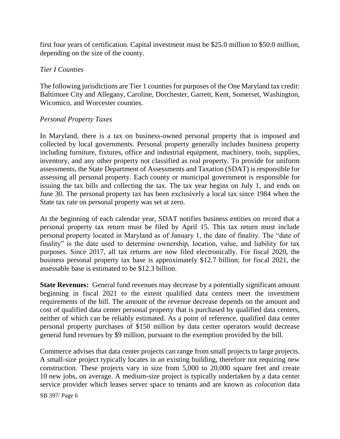first four years of certification. Capital investment must be \$25.0 million to \$50.0 million, depending on the size of the county.

## *Tier I Counties*

The following jurisdictions are Tier 1 counties for purposes of the One Maryland tax credit: Baltimore City and Allegany, Caroline, Dorchester, Garrett, Kent, Somerset, Washington, Wicomico, and Worcester counties.

### *Personal Property Taxes*

In Maryland, there is a tax on business-owned personal property that is imposed and collected by local governments. Personal property generally includes business property including furniture, fixtures, office and industrial equipment, machinery, tools, supplies, inventory, and any other property not classified as real property. To provide for uniform assessments, the State Department of Assessments and Taxation (SDAT) is responsible for assessing all personal property. Each county or municipal government is responsible for issuing the tax bills and collecting the tax. The tax year begins on July 1, and ends on June 30. The personal property tax has been exclusively a local tax since 1984 when the State tax rate on personal property was set at zero.

At the beginning of each calendar year, SDAT notifies business entities on record that a personal property tax return must be filed by April 15. This tax return must include personal property located in Maryland as of January 1, the date of finality. The "date of finality" is the date used to determine ownership, location, value, and liability for tax purposes. Since 2017, all tax returns are now filed electronically. For fiscal 2020, the business personal property tax base is approximately \$12.7 billion; for fiscal 2021, the assessable base is estimated to be \$12.3 billion.

**State Revenues:** General fund revenues may decrease by a potentially significant amount beginning in fiscal 2021 to the extent qualified data centers meet the investment requirements of the bill. The amount of the revenue decrease depends on the amount and cost of qualified data center personal property that is purchased by qualified data centers, neither of which can be reliably estimated. As a point of reference, qualified data center personal property purchases of \$150 million by data center operators would decrease general fund revenues by \$9 million, pursuant to the exemption provided by the bill.

Commerce advises that data center projects can range from small projects to large projects. A small-size project typically locates in an existing building, therefore not requiring new construction. These projects vary in size from 5,000 to 20,000 square feet and create 10 new jobs, on average. A medium-size project is typically undertaken by a data center service provider which leases server space to tenants and are known as *colocation* data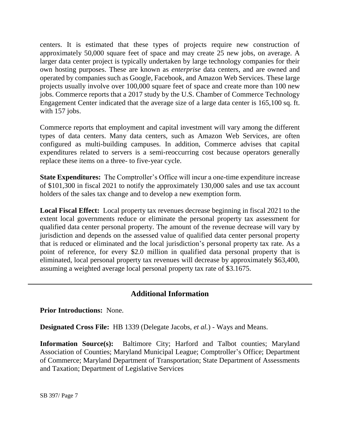centers. It is estimated that these types of projects require new construction of approximately 50,000 square feet of space and may create 25 new jobs, on average. A larger data center project is typically undertaken by large technology companies for their own hosting purposes. These are known as *enterprise* data centers, and are owned and operated by companies such as Google, Facebook, and Amazon Web Services. These large projects usually involve over 100,000 square feet of space and create more than 100 new jobs. Commerce reports that a 2017 study by the U.S. Chamber of Commerce Technology Engagement Center indicated that the average size of a large data center is 165,100 sq. ft. with 157 jobs.

Commerce reports that employment and capital investment will vary among the different types of data centers. Many data centers, such as Amazon Web Services, are often configured as multi-building campuses. In addition, Commerce advises that capital expenditures related to servers is a semi-reoccurring cost because operators generally replace these items on a three- to five-year cycle.

**State Expenditures:** The Comptroller's Office will incur a one-time expenditure increase of \$101,300 in fiscal 2021 to notify the approximately 130,000 sales and use tax account holders of the sales tax change and to develop a new exemption form.

**Local Fiscal Effect:** Local property tax revenues decrease beginning in fiscal 2021 to the extent local governments reduce or eliminate the personal property tax assessment for qualified data center personal property. The amount of the revenue decrease will vary by jurisdiction and depends on the assessed value of qualified data center personal property that is reduced or eliminated and the local jurisdiction's personal property tax rate. As a point of reference, for every \$2.0 million in qualified data personal property that is eliminated, local personal property tax revenues will decrease by approximately \$63,400, assuming a weighted average local personal property tax rate of \$3.1675.

# **Additional Information**

**Prior Introductions:** None.

**Designated Cross File:** HB 1339 (Delegate Jacobs, *et al.*) - Ways and Means.

**Information Source(s):** Baltimore City; Harford and Talbot counties; Maryland Association of Counties; Maryland Municipal League; Comptroller's Office; Department of Commerce; Maryland Department of Transportation; State Department of Assessments and Taxation; Department of Legislative Services